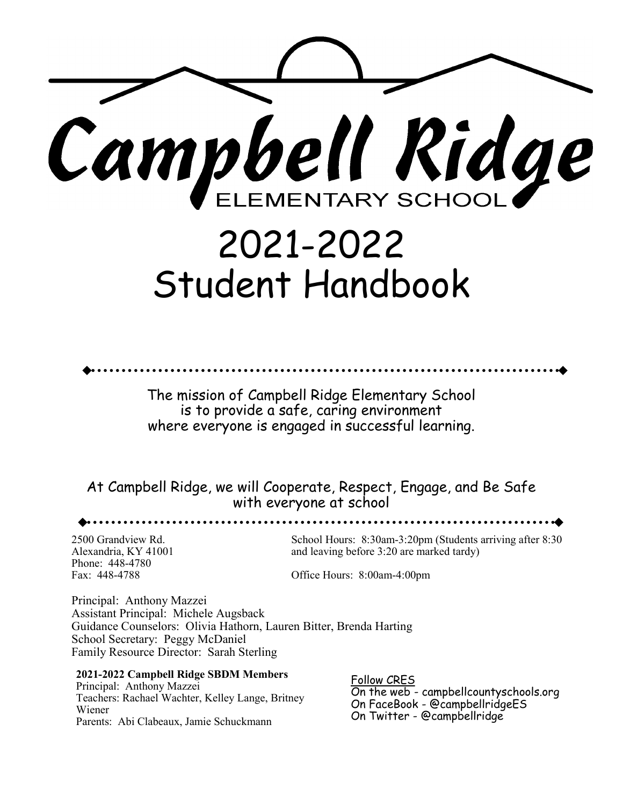

# 2021-2022 Student Handbook

The mission of Campbell Ridge Elementary School is to provide a safe, caring environment where everyone is engaged in successful learning.

At Campbell Ridge, we will Cooperate, Respect, Engage, and Be Safe with everyone at school

Phone: 448-4780

2500 Grandview Rd. School Hours: 8:30am-3:20pm (Students arriving after 8:30 Alexandria, KY 41001 and leaving before 3:20 are marked tardy)

Fax: 448-4788 Office Hours: 8:00am-4:00pm

. . . . . . . . . . . . . .

Principal: Anthony Mazzei Assistant Principal: Michele Augsback Guidance Counselors: Olivia Hathorn, Lauren Bitter, Brenda Harting School Secretary: Peggy McDaniel Family Resource Director: Sarah Sterling

**2021-2022 Campbell Ridge SBDM Members**

Principal: Anthony Mazzei Teachers: Rachael Wachter, Kelley Lange, Britney Wiener Parents: Abi Clabeaux, Jamie Schuckmann

Follow CRES On the web - campbellcountyschools.org On FaceBook - @campbellridgeES On Twitter - @campbellridge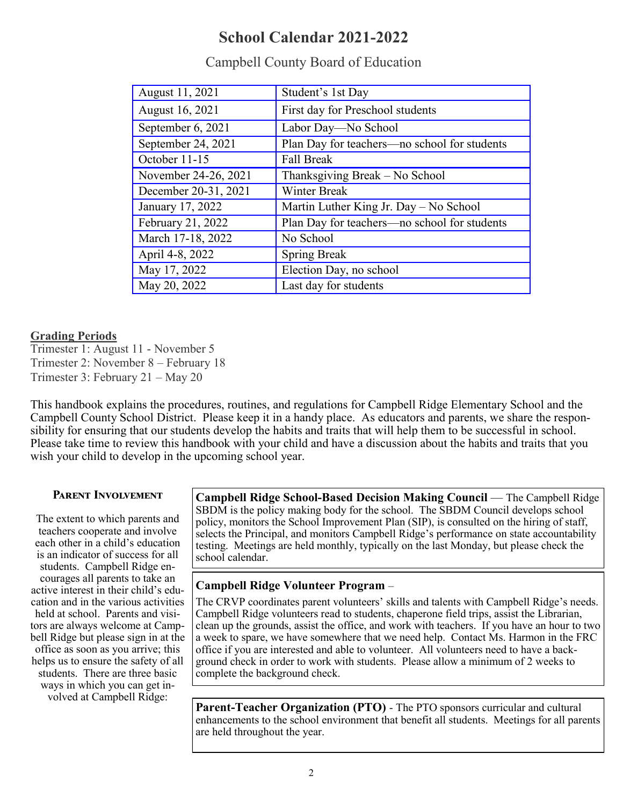## **School Calendar 2021-2022**

| August 11, 2021      | Student's 1st Day                            |
|----------------------|----------------------------------------------|
| August 16, 2021      | First day for Preschool students             |
| September 6, 2021    | Labor Day-No School                          |
| September 24, 2021   | Plan Day for teachers-no school for students |
| October 11-15        | <b>Fall Break</b>                            |
| November 24-26, 2021 | Thanksgiving Break - No School               |
| December 20-31, 2021 | <b>Winter Break</b>                          |
| January 17, 2022     | Martin Luther King Jr. Day - No School       |
| February 21, 2022    | Plan Day for teachers-no school for students |
| March 17-18, 2022    | No School                                    |
| April 4-8, 2022      | <b>Spring Break</b>                          |
| May 17, 2022         | Election Day, no school                      |
| May 20, 2022         | Last day for students                        |

## Campbell County Board of Education

#### **Grading Periods**

Trimester 1: August 11 - November 5 Trimester 2: November 8 – February 18 Trimester 3: February 21 – May 20

This handbook explains the procedures, routines, and regulations for Campbell Ridge Elementary School and the Campbell County School District. Please keep it in a handy place. As educators and parents, we share the responsibility for ensuring that our students develop the habits and traits that will help them to be successful in school. Please take time to review this handbook with your child and have a discussion about the habits and traits that you wish your child to develop in the upcoming school year.

## **Parent Involvement**

The extent to which parents and teachers cooperate and involve each other in a child's education is an indicator of success for all students. Campbell Ridge encourages all parents to take an active interest in their child's education and in the various activities held at school. Parents and visitors are always welcome at Campbell Ridge but please sign in at the office as soon as you arrive; this helps us to ensure the safety of all students. There are three basic ways in which you can get involved at Campbell Ridge:

**Campbell Ridge School-Based Decision Making Council** — The Campbell Ridge SBDM is the policy making body for the school. The SBDM Council develops school policy, monitors the School Improvement Plan (SIP), is consulted on the hiring of staff, selects the Principal, and monitors Campbell Ridge's performance on state accountability testing. Meetings are held monthly, typically on the last Monday, but please check the school calendar.

## **Campbell Ridge Volunteer Program** –

The CRVP coordinates parent volunteers' skills and talents with Campbell Ridge's needs. Campbell Ridge volunteers read to students, chaperone field trips, assist the Librarian, clean up the grounds, assist the office, and work with teachers. If you have an hour to two a week to spare, we have somewhere that we need help. Contact Ms. Harmon in the FRC office if you are interested and able to volunteer. All volunteers need to have a background check in order to work with students. Please allow a minimum of 2 weeks to complete the background check.

**Parent-Teacher Organization (PTO)** - The PTO sponsors curricular and cultural enhancements to the school environment that benefit all students. Meetings for all parents are held throughout the year.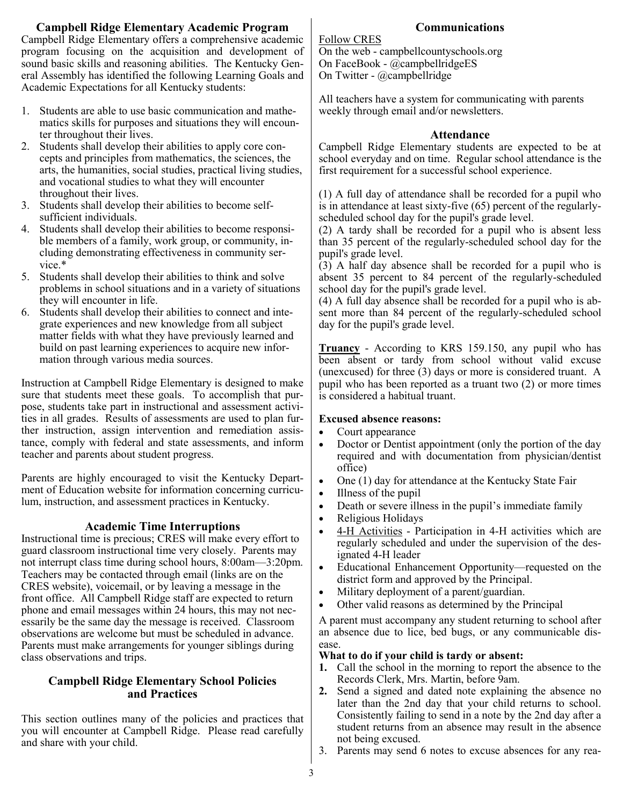## **Campbell Ridge Elementary Academic Program**

Campbell Ridge Elementary offers a comprehensive academic program focusing on the acquisition and development of sound basic skills and reasoning abilities. The Kentucky General Assembly has identified the following Learning Goals and Academic Expectations for all Kentucky students:

- 1. Students are able to use basic communication and mathematics skills for purposes and situations they will encounter throughout their lives.
- 2. Students shall develop their abilities to apply core concepts and principles from mathematics, the sciences, the arts, the humanities, social studies, practical living studies, and vocational studies to what they will encounter throughout their lives.
- 3. Students shall develop their abilities to become selfsufficient individuals.
- 4. Students shall develop their abilities to become responsible members of a family, work group, or community, including demonstrating effectiveness in community service.\*
- 5. Students shall develop their abilities to think and solve problems in school situations and in a variety of situations they will encounter in life.
- 6. Students shall develop their abilities to connect and integrate experiences and new knowledge from all subject matter fields with what they have previously learned and build on past learning experiences to acquire new information through various media sources.

Instruction at Campbell Ridge Elementary is designed to make sure that students meet these goals. To accomplish that purpose, students take part in instructional and assessment activities in all grades. Results of assessments are used to plan further instruction, assign intervention and remediation assistance, comply with federal and state assessments, and inform teacher and parents about student progress.

Parents are highly encouraged to visit the Kentucky Department of Education website for information concerning curriculum, instruction, and assessment practices in Kentucky.

#### **Academic Time Interruptions**

Instructional time is precious; CRES will make every effort to guard classroom instructional time very closely. Parents may not interrupt class time during school hours, 8:00am—3:20pm. Teachers may be contacted through email (links are on the CRES website), voicemail, or by leaving a message in the front office. All Campbell Ridge staff are expected to return phone and email messages within 24 hours, this may not necessarily be the same day the message is received. Classroom observations are welcome but must be scheduled in advance. Parents must make arrangements for younger siblings during class observations and trips.

#### **Campbell Ridge Elementary School Policies and Practices**

This section outlines many of the policies and practices that you will encounter at Campbell Ridge. Please read carefully and share with your child.

## **Communications**

Follow CRES

On the web - campbellcountyschools.org On FaceBook - @campbellridgeES On Twitter - @campbellridge

All teachers have a system for communicating with parents weekly through email and/or newsletters.

#### **Attendance**

Campbell Ridge Elementary students are expected to be at school everyday and on time. Regular school attendance is the first requirement for a successful school experience.

(1) A full day of attendance shall be recorded for a pupil who is in attendance at least sixty-five (65) percent of the regularlyscheduled school day for the pupil's grade level.

(2) A tardy shall be recorded for a pupil who is absent less than 35 percent of the regularly-scheduled school day for the pupil's grade level.

(3) A half day absence shall be recorded for a pupil who is absent 35 percent to 84 percent of the regularly-scheduled school day for the pupil's grade level.

(4) A full day absence shall be recorded for a pupil who is absent more than 84 percent of the regularly-scheduled school day for the pupil's grade level.

**Truancy** - According to KRS 159.150, any pupil who has been absent or tardy from school without valid excuse (unexcused) for three (3) days or more is considered truant. A pupil who has been reported as a truant two (2) or more times is considered a habitual truant.

#### **Excused absence reasons:**

- Court appearance
- Doctor or Dentist appointment (only the portion of the day required and with documentation from physician/dentist office)
- One (1) day for attendance at the Kentucky State Fair
- Illness of the pupil
- Death or severe illness in the pupil's immediate family
- Religious Holidays
- 4-H Activities Participation in 4-H activities which are regularly scheduled and under the supervision of the designated 4-H leader
- Educational Enhancement Opportunity—requested on the district form and approved by the Principal.
- Military deployment of a parent/guardian.
- Other valid reasons as determined by the Principal

A parent must accompany any student returning to school after an absence due to lice, bed bugs, or any communicable disease.

#### **What to do if your child is tardy or absent:**

- **1.** Call the school in the morning to report the absence to the Records Clerk, Mrs. Martin, before 9am.
- **2.** Send a signed and dated note explaining the absence no later than the 2nd day that your child returns to school. Consistently failing to send in a note by the 2nd day after a student returns from an absence may result in the absence not being excused.
- Parents may send 6 notes to excuse absences for any rea-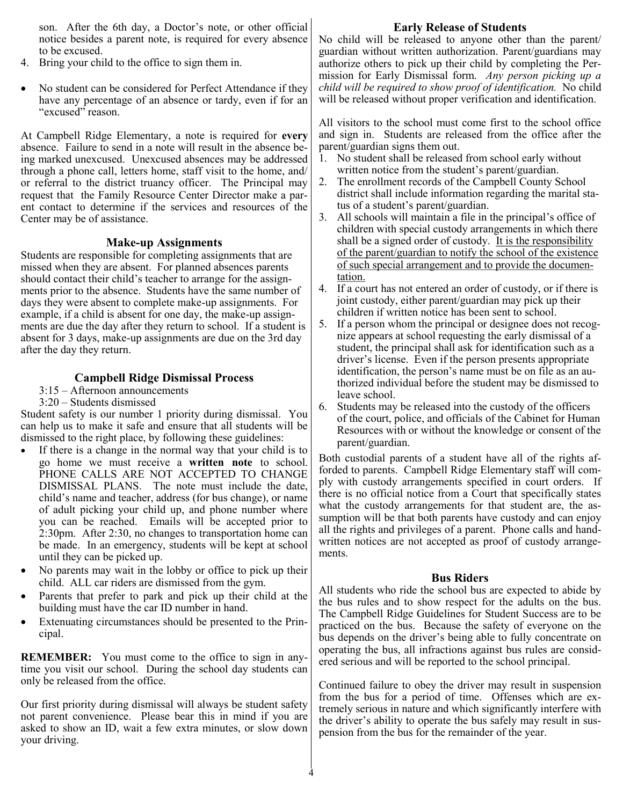son. After the 6th day, a Doctor's note, or other official notice besides a parent note, is required for every absence to be excused.

- 4. Bring your child to the office to sign them in.
- No student can be considered for Perfect Attendance if they have any percentage of an absence or tardy, even if for an "excused" reason.

At Campbell Ridge Elementary, a note is required for **every** absence. Failure to send in a note will result in the absence being marked unexcused. Unexcused absences may be addressed through a phone call, letters home, staff visit to the home, and/ or referral to the district truancy officer. The Principal may request that the Family Resource Center Director make a parent contact to determine if the services and resources of the Center may be of assistance.

#### **Make-up Assignments**

Students are responsible for completing assignments that are missed when they are absent. For planned absences parents should contact their child's teacher to arrange for the assignments prior to the absence. Students have the same number of days they were absent to complete make-up assignments. For example, if a child is absent for one day, the make-up assignments are due the day after they return to school. If a student is absent for 3 days, make-up assignments are due on the 3rd day after the day they return.

#### **Campbell Ridge Dismissal Process**

- 3:15 Afternoon announcements
- 3:20 Students dismissed

Student safety is our number 1 priority during dismissal. You can help us to make it safe and ensure that all students will be dismissed to the right place, by following these guidelines:

- If there is a change in the normal way that your child is to go home we must receive a **written note** to school. PHONE CALLS ARE NOT ACCEPTED TO CHANGE DISMISSAL PLANS. The note must include the date, child's name and teacher, address (for bus change), or name of adult picking your child up, and phone number where you can be reached. Emails will be accepted prior to 2:30pm. After 2:30, no changes to transportation home can be made. In an emergency, students will be kept at school until they can be picked up.
- No parents may wait in the lobby or office to pick up their child. ALL car riders are dismissed from the gym.
- Parents that prefer to park and pick up their child at the building must have the car ID number in hand.
- Extenuating circumstances should be presented to the Principal.

**REMEMBER:** You must come to the office to sign in anytime you visit our school. During the school day students can only be released from the office.

Our first priority during dismissal will always be student safety not parent convenience. Please bear this in mind if you are asked to show an ID, wait a few extra minutes, or slow down your driving.

#### **Early Release of Students**

No child will be released to anyone other than the parent/ guardian without written authorization. Parent/guardians may authorize others to pick up their child by completing the Permission for Early Dismissal form. *Any person picking up a child will be required to show proof of identification.* No child will be released without proper verification and identification.

All visitors to the school must come first to the school office and sign in. Students are released from the office after the parent/guardian signs them out.

- 1. No student shall be released from school early without written notice from the student's parent/guardian.
- 2. The enrollment records of the Campbell County School district shall include information regarding the marital status of a student's parent/guardian.
- 3. All schools will maintain a file in the principal's office of children with special custody arrangements in which there shall be a signed order of custody. It is the responsibility of the parent/guardian to notify the school of the existence of such special arrangement and to provide the documentation.
- 4. If a court has not entered an order of custody, or if there is joint custody, either parent/guardian may pick up their children if written notice has been sent to school.
- 5. If a person whom the principal or designee does not recognize appears at school requesting the early dismissal of a student, the principal shall ask for identification such as a driver's license. Even if the person presents appropriate identification, the person's name must be on file as an authorized individual before the student may be dismissed to leave school.
- 6. Students may be released into the custody of the officers of the court, police, and officials of the Cabinet for Human Resources with or without the knowledge or consent of the parent/guardian.

Both custodial parents of a student have all of the rights afforded to parents. Campbell Ridge Elementary staff will comply with custody arrangements specified in court orders. If there is no official notice from a Court that specifically states what the custody arrangements for that student are, the assumption will be that both parents have custody and can enjoy all the rights and privileges of a parent. Phone calls and handwritten notices are not accepted as proof of custody arrangements.

#### **Bus Riders**

All students who ride the school bus are expected to abide by the bus rules and to show respect for the adults on the bus. The Campbell Ridge Guidelines for Student Success are to be practiced on the bus. Because the safety of everyone on the bus depends on the driver's being able to fully concentrate on operating the bus, all infractions against bus rules are considered serious and will be reported to the school principal.

Continued failure to obey the driver may result in suspension from the bus for a period of time. Offenses which are extremely serious in nature and which significantly interfere with the driver's ability to operate the bus safely may result in suspension from the bus for the remainder of the year.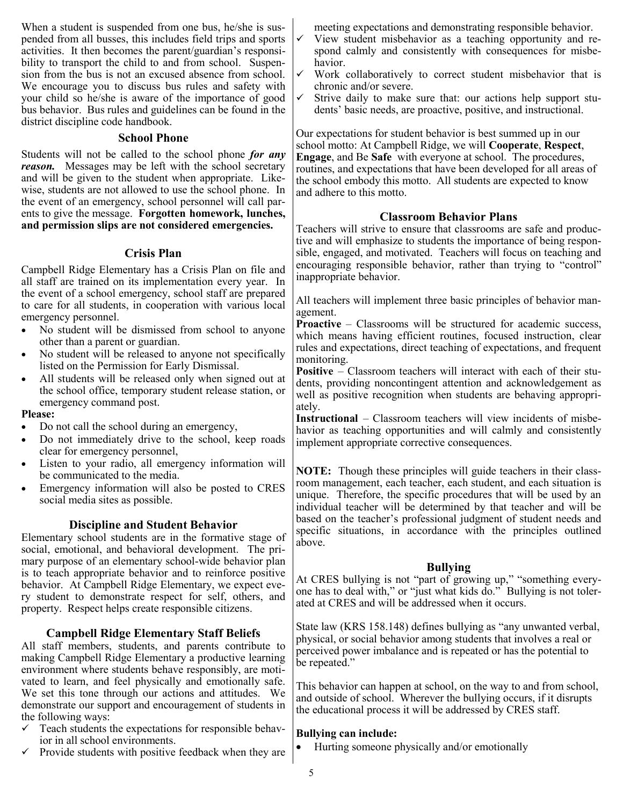When a student is suspended from one bus, he/she is suspended from all busses, this includes field trips and sports activities. It then becomes the parent/guardian's responsibility to transport the child to and from school. Suspension from the bus is not an excused absence from school. We encourage you to discuss bus rules and safety with your child so he/she is aware of the importance of good bus behavior. Bus rules and guidelines can be found in the district discipline code handbook.

#### **School Phone**

Students will not be called to the school phone *for any reason.*Messages may be left with the school secretary and will be given to the student when appropriate. Likewise, students are not allowed to use the school phone. In the event of an emergency, school personnel will call parents to give the message. **Forgotten homework, lunches, and permission slips are not considered emergencies.**

#### **Crisis Plan**

Campbell Ridge Elementary has a Crisis Plan on file and all staff are trained on its implementation every year. In the event of a school emergency, school staff are prepared to care for all students, in cooperation with various local emergency personnel.

- No student will be dismissed from school to anyone other than a parent or guardian.
- No student will be released to anyone not specifically listed on the Permission for Early Dismissal.
- All students will be released only when signed out at the school office, temporary student release station, or emergency command post.

#### **Please:**

- Do not call the school during an emergency,
- Do not immediately drive to the school, keep roads clear for emergency personnel,
- Listen to your radio, all emergency information will be communicated to the media.
- Emergency information will also be posted to CRES social media sites as possible.

#### **Discipline and Student Behavior**

Elementary school students are in the formative stage of social, emotional, and behavioral development. The primary purpose of an elementary school-wide behavior plan is to teach appropriate behavior and to reinforce positive behavior. At Campbell Ridge Elementary, we expect every student to demonstrate respect for self, others, and property. Respect helps create responsible citizens.

#### **Campbell Ridge Elementary Staff Beliefs**

All staff members, students, and parents contribute to making Campbell Ridge Elementary a productive learning environment where students behave responsibly, are motivated to learn, and feel physically and emotionally safe. We set this tone through our actions and attitudes. We demonstrate our support and encouragement of students in the following ways:

- Teach students the expectations for responsible behavior in all school environments.
- $\checkmark$  Provide students with positive feedback when they are

meeting expectations and demonstrating responsible behavior.

- $\checkmark$  View student misbehavior as a teaching opportunity and respond calmly and consistently with consequences for misbehavior.
- Work collaboratively to correct student misbehavior that is chronic and/or severe.
- Strive daily to make sure that: our actions help support students' basic needs, are proactive, positive, and instructional.

Our expectations for student behavior is best summed up in our school motto: At Campbell Ridge, we will **Cooperate**, **Respect**, **Engage**, and Be **Safe** with everyone at school. The procedures, routines, and expectations that have been developed for all areas of the school embody this motto. All students are expected to know and adhere to this motto.

#### **Classroom Behavior Plans**

Teachers will strive to ensure that classrooms are safe and productive and will emphasize to students the importance of being responsible, engaged, and motivated. Teachers will focus on teaching and encouraging responsible behavior, rather than trying to "control" inappropriate behavior.

All teachers will implement three basic principles of behavior management.

**Proactive** – Classrooms will be structured for academic success, which means having efficient routines, focused instruction, clear rules and expectations, direct teaching of expectations, and frequent monitoring.

**Positive** – Classroom teachers will interact with each of their students, providing noncontingent attention and acknowledgement as well as positive recognition when students are behaving appropriately.

**Instructional** – Classroom teachers will view incidents of misbehavior as teaching opportunities and will calmly and consistently implement appropriate corrective consequences.

**NOTE:** Though these principles will guide teachers in their classroom management, each teacher, each student, and each situation is unique. Therefore, the specific procedures that will be used by an individual teacher will be determined by that teacher and will be based on the teacher's professional judgment of student needs and specific situations, in accordance with the principles outlined above.

#### **Bullying**

At CRES bullying is not "part of growing up," "something everyone has to deal with," or "just what kids do." Bullying is not tolerated at CRES and will be addressed when it occurs.

State law (KRS 158.148) defines bullying as "any unwanted verbal, physical, or social behavior among students that involves a real or perceived power imbalance and is repeated or has the potential to be repeated."

This behavior can happen at school, on the way to and from school, and outside of school. Wherever the bullying occurs, if it disrupts the educational process it will be addressed by CRES staff.

#### **Bullying can include:**

• Hurting someone physically and/or emotionally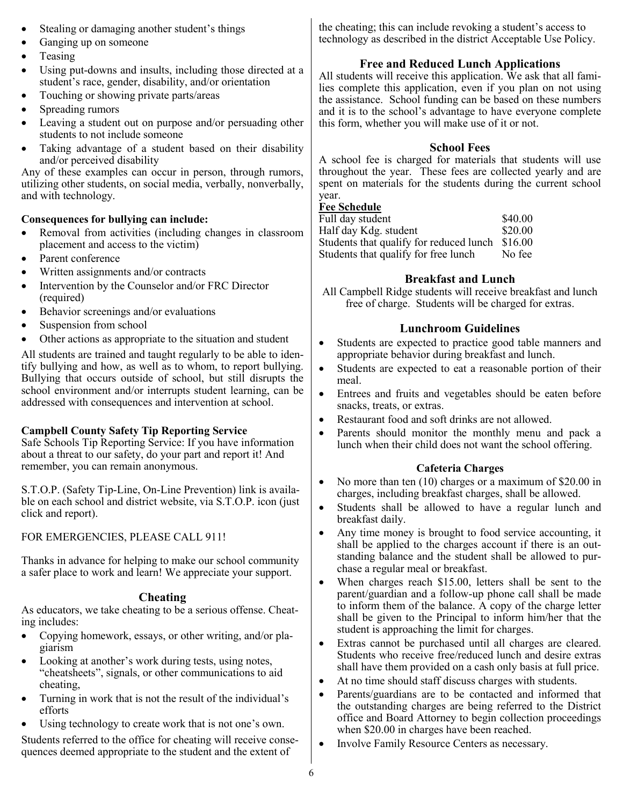- Stealing or damaging another student's things
- Ganging up on someone
- Teasing
- Using put-downs and insults, including those directed at a student's race, gender, disability, and/or orientation
- Touching or showing private parts/areas
- Spreading rumors
- Leaving a student out on purpose and/or persuading other students to not include someone
- Taking advantage of a student based on their disability and/or perceived disability

Any of these examples can occur in person, through rumors, utilizing other students, on social media, verbally, nonverbally, and with technology.

#### **Consequences for bullying can include:**

- Removal from activities (including changes in classroom placement and access to the victim)
- Parent conference
- Written assignments and/or contracts
- Intervention by the Counselor and/or FRC Director (required)
- Behavior screenings and/or evaluations
- Suspension from school
- Other actions as appropriate to the situation and student

All students are trained and taught regularly to be able to identify bullying and how, as well as to whom, to report bullying. Bullying that occurs outside of school, but still disrupts the school environment and/or interrupts student learning, can be addressed with consequences and intervention at school.

#### **Campbell County Safety Tip Reporting Service**

Safe Schools Tip Reporting Service: If you have information about a threat to our safety, do your part and report it! And remember, you can remain anonymous.

S.T.O.P. (Safety Tip-Line, On-Line Prevention) link is available on each school and district website, via S.T.O.P. icon (just click and report).

#### FOR EMERGENCIES, PLEASE CALL 911!

Thanks in advance for helping to make our school community a safer place to work and learn! We appreciate your support.

#### **Cheating**

As educators, we take cheating to be a serious offense. Cheating includes:

- Copying homework, essays, or other writing, and/or plagiarism
- Looking at another's work during tests, using notes, "cheatsheets", signals, or other communications to aid cheating,
- Turning in work that is not the result of the individual's efforts
- Using technology to create work that is not one's own.

Students referred to the office for cheating will receive consequences deemed appropriate to the student and the extent of

the cheating; this can include revoking a student's access to technology as described in the district Acceptable Use Policy.

#### **Free and Reduced Lunch Applications**

All students will receive this application. We ask that all families complete this application, even if you plan on not using the assistance. School funding can be based on these numbers and it is to the school's advantage to have everyone complete this form, whether you will make use of it or not.

#### **School Fees**

A school fee is charged for materials that students will use throughout the year. These fees are collected yearly and are spent on materials for the students during the current school year.

#### **Fee Schedule**

| Full day student                        | \$40.00 |
|-----------------------------------------|---------|
| Half day Kdg. student                   | \$20.00 |
| Students that qualify for reduced lunch | \$16.00 |
| Students that qualify for free lunch    | No fee  |

#### **Breakfast and Lunch**

All Campbell Ridge students will receive breakfast and lunch free of charge. Students will be charged for extras.

#### **Lunchroom Guidelines**

- Students are expected to practice good table manners and appropriate behavior during breakfast and lunch.
- Students are expected to eat a reasonable portion of their meal.
- Entrees and fruits and vegetables should be eaten before snacks, treats, or extras.
- Restaurant food and soft drinks are not allowed.
- Parents should monitor the monthly menu and pack a lunch when their child does not want the school offering.

#### **Cafeteria Charges**

- No more than ten (10) charges or a maximum of \$20.00 in charges, including breakfast charges, shall be allowed.
- Students shall be allowed to have a regular lunch and breakfast daily.
- Any time money is brought to food service accounting, it shall be applied to the charges account if there is an outstanding balance and the student shall be allowed to purchase a regular meal or breakfast.
- When charges reach \$15.00, letters shall be sent to the parent/guardian and a follow-up phone call shall be made to inform them of the balance. A copy of the charge letter shall be given to the Principal to inform him/her that the student is approaching the limit for charges.
- Extras cannot be purchased until all charges are cleared. Students who receive free/reduced lunch and desire extras shall have them provided on a cash only basis at full price.
- At no time should staff discuss charges with students.
- Parents/guardians are to be contacted and informed that the outstanding charges are being referred to the District office and Board Attorney to begin collection proceedings when \$20.00 in charges have been reached.
- Involve Family Resource Centers as necessary.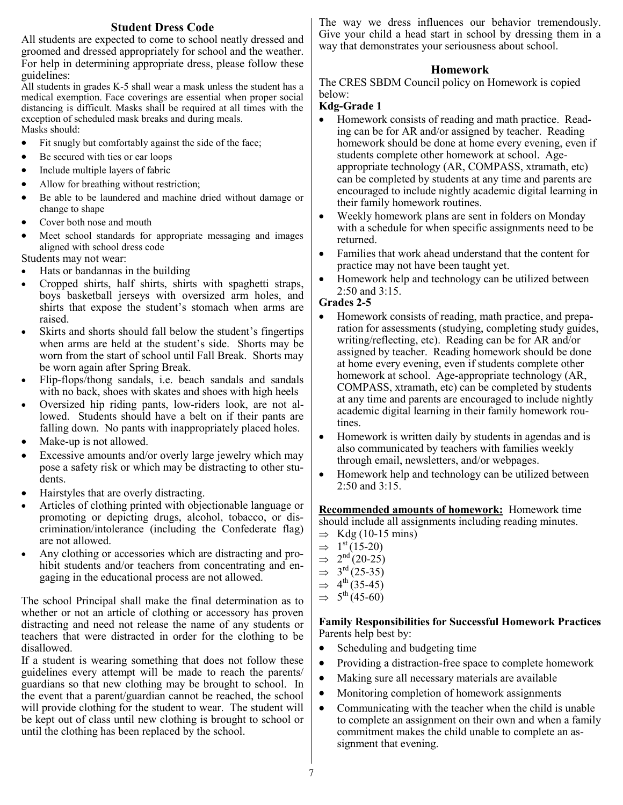#### **Student Dress Code**

All students are expected to come to school neatly dressed and groomed and dressed appropriately for school and the weather. For help in determining appropriate dress, please follow these guidelines:

All students in grades K-5 shall wear a mask unless the student has a medical exemption. Face coverings are essential when proper social distancing is difficult. Masks shall be required at all times with the exception of scheduled mask breaks and during meals. Masks should:

- Fit snugly but comfortably against the side of the face;
- Be secured with ties or ear loops
- Include multiple layers of fabric
- Allow for breathing without restriction;
- Be able to be laundered and machine dried without damage or change to shape
- Cover both nose and mouth
- Meet school standards for appropriate messaging and images aligned with school dress code

Students may not wear:

- Hats or bandannas in the building
- Cropped shirts, half shirts, shirts with spaghetti straps, boys basketball jerseys with oversized arm holes, and shirts that expose the student's stomach when arms are raised.
- Skirts and shorts should fall below the student's fingertips when arms are held at the student's side. Shorts may be worn from the start of school until Fall Break. Shorts may be worn again after Spring Break.
- Flip-flops/thong sandals, i.e. beach sandals and sandals with no back, shoes with skates and shoes with high heels
- Oversized hip riding pants, low-riders look, are not allowed. Students should have a belt on if their pants are falling down. No pants with inappropriately placed holes.
- Make-up is not allowed.
- Excessive amounts and/or overly large jewelry which may pose a safety risk or which may be distracting to other students.
- Hairstyles that are overly distracting.
- Articles of clothing printed with objectionable language or promoting or depicting drugs, alcohol, tobacco, or discrimination/intolerance (including the Confederate flag) are not allowed.
- Any clothing or accessories which are distracting and prohibit students and/or teachers from concentrating and engaging in the educational process are not allowed.

The school Principal shall make the final determination as to whether or not an article of clothing or accessory has proven distracting and need not release the name of any students or teachers that were distracted in order for the clothing to be disallowed.

If a student is wearing something that does not follow these guidelines every attempt will be made to reach the parents/ guardians so that new clothing may be brought to school. In the event that a parent/guardian cannot be reached, the school will provide clothing for the student to wear. The student will be kept out of class until new clothing is brought to school or until the clothing has been replaced by the school.

The way we dress influences our behavior tremendously. Give your child a head start in school by dressing them in a way that demonstrates your seriousness about school.

#### **Homework**

The CRES SBDM Council policy on Homework is copied below:

#### **Kdg-Grade 1**

- Homework consists of reading and math practice. Reading can be for AR and/or assigned by teacher. Reading homework should be done at home every evening, even if students complete other homework at school. Ageappropriate technology (AR, COMPASS, xtramath, etc) can be completed by students at any time and parents are encouraged to include nightly academic digital learning in their family homework routines.
- Weekly homework plans are sent in folders on Monday with a schedule for when specific assignments need to be returned.
- Families that work ahead understand that the content for practice may not have been taught yet.
- Homework help and technology can be utilized between 2:50 and 3:15.

#### **Grades 2-5**

- Homework consists of reading, math practice, and preparation for assessments (studying, completing study guides, writing/reflecting, etc). Reading can be for AR and/or assigned by teacher. Reading homework should be done at home every evening, even if students complete other homework at school. Age-appropriate technology (AR, COMPASS, xtramath, etc) can be completed by students at any time and parents are encouraged to include nightly academic digital learning in their family homework routines.
- Homework is written daily by students in agendas and is also communicated by teachers with families weekly through email, newsletters, and/or webpages.
- Homework help and technology can be utilized between 2:50 and 3:15.

**Recommended amounts of homework:** Homework time should include all assignments including reading minutes.

- $\Rightarrow$  Kdg (10-15 mins)
- $\Rightarrow$  1<sup>st</sup> (15-20)
- $\Rightarrow$  $2^{nd}(20-25)$
- $\Rightarrow$  $3<sup>rd</sup>$  (25-35)
- $\Rightarrow$  4<sup>th</sup> (35-45)
- $\Rightarrow$  5<sup>th</sup> (45-60)

#### **Family Responsibilities for Successful Homework Practices** Parents help best by:

- Scheduling and budgeting time
- Providing a distraction-free space to complete homework
- Making sure all necessary materials are available
- Monitoring completion of homework assignments
- Communicating with the teacher when the child is unable to complete an assignment on their own and when a family commitment makes the child unable to complete an assignment that evening.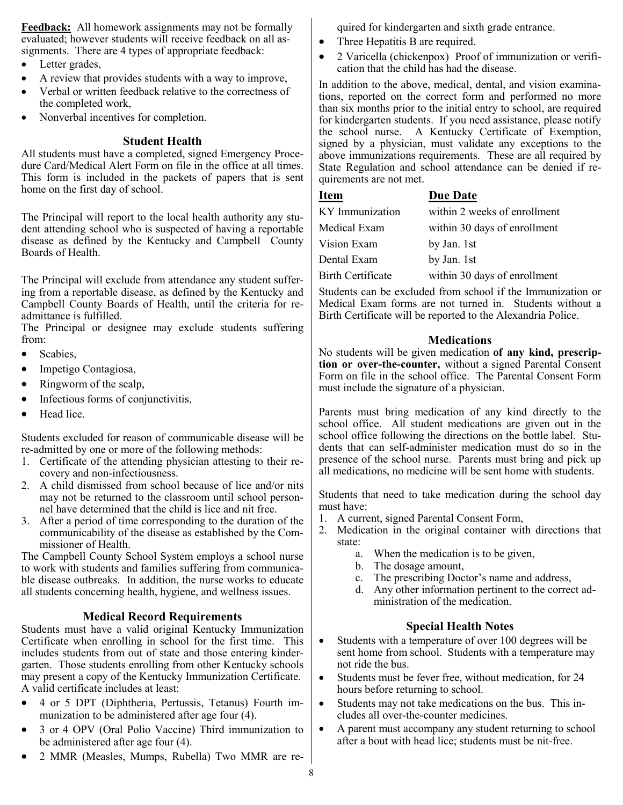**Feedback:** All homework assignments may not be formally evaluated; however students will receive feedback on all assignments. There are 4 types of appropriate feedback:

- Letter grades,
- A review that provides students with a way to improve,
- Verbal or written feedback relative to the correctness of the completed work,
- Nonverbal incentives for completion.

#### **Student Health**

All students must have a completed, signed Emergency Procedure Card/Medical Alert Form on file in the office at all times. This form is included in the packets of papers that is sent home on the first day of school.

The Principal will report to the local health authority any student attending school who is suspected of having a reportable disease as defined by the Kentucky and Campbell County Boards of Health.

The Principal will exclude from attendance any student suffering from a reportable disease, as defined by the Kentucky and Campbell County Boards of Health, until the criteria for readmittance is fulfilled.

The Principal or designee may exclude students suffering from:

- Scabies.
- Impetigo Contagiosa,
- Ringworm of the scalp,
- Infectious forms of conjunctivitis,
- Head lice.

Students excluded for reason of communicable disease will be re-admitted by one or more of the following methods:

- 1. Certificate of the attending physician attesting to their recovery and non-infectiousness.
- 2. A child dismissed from school because of lice and/or nits may not be returned to the classroom until school personnel have determined that the child is lice and nit free.
- 3. After a period of time corresponding to the duration of the communicability of the disease as established by the Commissioner of Health.

The Campbell County School System employs a school nurse to work with students and families suffering from communicable disease outbreaks. In addition, the nurse works to educate all students concerning health, hygiene, and wellness issues.

#### **Medical Record Requirements**

Students must have a valid original Kentucky Immunization Certificate when enrolling in school for the first time. This includes students from out of state and those entering kindergarten. Those students enrolling from other Kentucky schools may present a copy of the Kentucky Immunization Certificate. A valid certificate includes at least:

- 4 or 5 DPT (Diphtheria, Pertussis, Tetanus) Fourth immunization to be administered after age four (4).
- 3 or 4 OPV (Oral Polio Vaccine) Third immunization to be administered after age four (4).
- 2 MMR (Measles, Mumps, Rubella) Two MMR are re-

quired for kindergarten and sixth grade entrance.

- Three Hepatitis B are required.
- 2 Varicella (chickenpox) Proof of immunization or verification that the child has had the disease.

In addition to the above, medical, dental, and vision examinations, reported on the correct form and performed no more than six months prior to the initial entry to school, are required for kindergarten students. If you need assistance, please notify the school nurse. A Kentucky Certificate of Exemption, signed by a physician, must validate any exceptions to the above immunizations requirements. These are all required by State Regulation and school attendance can be denied if requirements are not met.

## **Item Due Date** KY Immunization within 2 weeks of enrollment Medical Exam within 30 days of enrollment Vision Exam by Jan. 1st Dental Exam by Jan. 1st Birth Certificate within 30 days of enrollment

Students can be excluded from school if the Immunization or Medical Exam forms are not turned in. Students without a Birth Certificate will be reported to the Alexandria Police.

#### **Medications**

No students will be given medication **of any kind, prescription or over-the-counter,** without a signed Parental Consent Form on file in the school office. The Parental Consent Form must include the signature of a physician.

Parents must bring medication of any kind directly to the school office. All student medications are given out in the school office following the directions on the bottle label. Students that can self-administer medication must do so in the presence of the school nurse. Parents must bring and pick up all medications, no medicine will be sent home with students.

Students that need to take medication during the school day must have:

- 1. A current, signed Parental Consent Form,
- 2. Medication in the original container with directions that state:
	- a. When the medication is to be given,
	- b. The dosage amount,
	- c. The prescribing Doctor's name and address,
	- d. Any other information pertinent to the correct administration of the medication.

#### **Special Health Notes**

- Students with a temperature of over 100 degrees will be sent home from school. Students with a temperature may not ride the bus.
- Students must be fever free, without medication, for 24 hours before returning to school.
- Students may not take medications on the bus. This includes all over-the-counter medicines.
- A parent must accompany any student returning to school after a bout with head lice; students must be nit-free.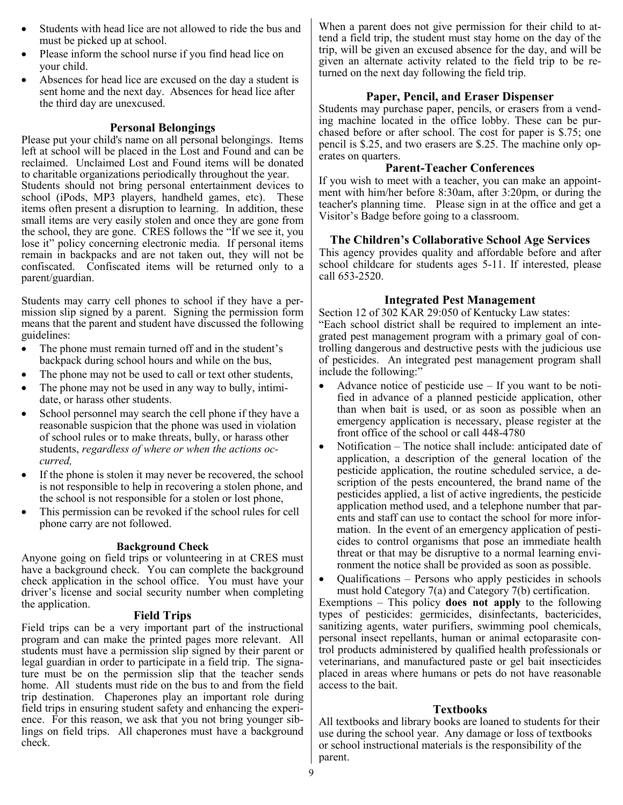- Students with head lice are not allowed to ride the bus and must be picked up at school.
- Please inform the school nurse if you find head lice on your child.
- Absences for head lice are excused on the day a student is sent home and the next day. Absences for head lice after the third day are unexcused.

## **Personal Belongings**

Please put your child's name on all personal belongings. Items left at school will be placed in the Lost and Found and can be reclaimed. Unclaimed Lost and Found items will be donated to charitable organizations periodically throughout the year. Students should not bring personal entertainment devices to school (iPods, MP3 players, handheld games, etc). These items often present a disruption to learning. In addition, these small items are very easily stolen and once they are gone from the school, they are gone. CRES follows the "If we see it, you lose it" policy concerning electronic media. If personal items remain in backpacks and are not taken out, they will not be confiscated. Confiscated items will be returned only to a parent/guardian.

Students may carry cell phones to school if they have a permission slip signed by a parent. Signing the permission form means that the parent and student have discussed the following guidelines:

- The phone must remain turned off and in the student's backpack during school hours and while on the bus,
- The phone may not be used to call or text other students,
- The phone may not be used in any way to bully, intimidate, or harass other students.
- School personnel may search the cell phone if they have a reasonable suspicion that the phone was used in violation of school rules or to make threats, bully, or harass other students, *regardless of where or when the actions occurred,*
- If the phone is stolen it may never be recovered, the school is not responsible to help in recovering a stolen phone, and the school is not responsible for a stolen or lost phone,
- This permission can be revoked if the school rules for cell phone carry are not followed.

## **Background Check**

Anyone going on field trips or volunteering in at CRES must have a background check. You can complete the background check application in the school office. You must have your driver's license and social security number when completing the application.

#### **Field Trips**

Field trips can be a very important part of the instructional program and can make the printed pages more relevant. All students must have a permission slip signed by their parent or legal guardian in order to participate in a field trip. The signature must be on the permission slip that the teacher sends home. All students must ride on the bus to and from the field trip destination. Chaperones play an important role during field trips in ensuring student safety and enhancing the experience. For this reason, we ask that you not bring younger siblings on field trips. All chaperones must have a background check.

When a parent does not give permission for their child to attend a field trip, the student must stay home on the day of the trip, will be given an excused absence for the day, and will be given an alternate activity related to the field trip to be returned on the next day following the field trip.

## **Paper, Pencil, and Eraser Dispenser**

Students may purchase paper, pencils, or erasers from a vending machine located in the office lobby. These can be purchased before or after school. The cost for paper is \$.75; one pencil is \$.25, and two erasers are \$.25. The machine only operates on quarters.

## **Parent-Teacher Conferences**

If you wish to meet with a teacher, you can make an appointment with him/her before 8:30am, after 3:20pm, or during the teacher's planning time. Please sign in at the office and get a Visitor's Badge before going to a classroom.

## **The Children's Collaborative School Age Services**

This agency provides quality and affordable before and after school childcare for students ages 5-11. If interested, please call 653-2520.

## **Integrated Pest Management**

Section 12 of 302 KAR 29:050 of Kentucky Law states: "Each school district shall be required to implement an integrated pest management program with a primary goal of controlling dangerous and destructive pests with the judicious use of pesticides. An integrated pest management program shall include the following:"

- Advance notice of pesticide use  $-$  If you want to be notified in advance of a planned pesticide application, other than when bait is used, or as soon as possible when an emergency application is necessary, please register at the front office of the school or call 448-4780
- Notification The notice shall include: anticipated date of application, a description of the general location of the pesticide application, the routine scheduled service, a description of the pests encountered, the brand name of the pesticides applied, a list of active ingredients, the pesticide application method used, and a telephone number that parents and staff can use to contact the school for more information. In the event of an emergency application of pesticides to control organisms that pose an immediate health threat or that may be disruptive to a normal learning environment the notice shall be provided as soon as possible.
- Qualifications Persons who apply pesticides in schools must hold Category 7(a) and Category 7(b) certification.

Exemptions – This policy **does not apply** to the following types of pesticides: germicides, disinfectants, bactericides, sanitizing agents, water purifiers, swimming pool chemicals, personal insect repellants, human or animal ectoparasite control products administered by qualified health professionals or veterinarians, and manufactured paste or gel bait insecticides placed in areas where humans or pets do not have reasonable access to the bait.

## **Textbooks**

All textbooks and library books are loaned to students for their use during the school year. Any damage or loss of textbooks or school instructional materials is the responsibility of the parent.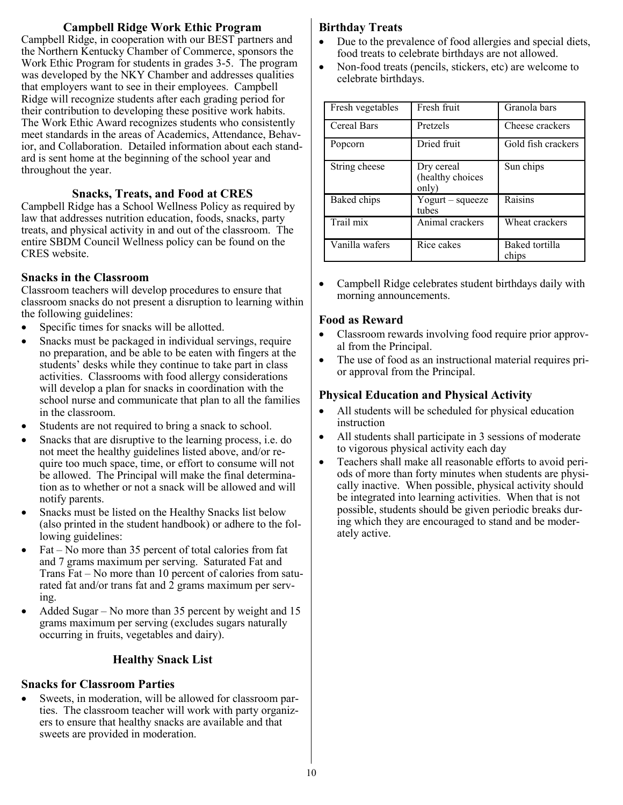## **Campbell Ridge Work Ethic Program**

Campbell Ridge, in cooperation with our BEST partners and the Northern Kentucky Chamber of Commerce, sponsors the Work Ethic Program for students in grades 3-5. The program was developed by the NKY Chamber and addresses qualities that employers want to see in their employees. Campbell Ridge will recognize students after each grading period for their contribution to developing these positive work habits. The Work Ethic Award recognizes students who consistently meet standards in the areas of Academics, Attendance, Behavior, and Collaboration. Detailed information about each standard is sent home at the beginning of the school year and throughout the year.

## **Snacks, Treats, and Food at CRES**

Campbell Ridge has a School Wellness Policy as required by law that addresses nutrition education, foods, snacks, party treats, and physical activity in and out of the classroom. The entire SBDM Council Wellness policy can be found on the CRES website.

#### **Snacks in the Classroom**

Classroom teachers will develop procedures to ensure that classroom snacks do not present a disruption to learning within the following guidelines:

- Specific times for snacks will be allotted.
- Snacks must be packaged in individual servings, require no preparation, and be able to be eaten with fingers at the students' desks while they continue to take part in class activities. Classrooms with food allergy considerations will develop a plan for snacks in coordination with the school nurse and communicate that plan to all the families in the classroom.
- Students are not required to bring a snack to school.
- Snacks that are disruptive to the learning process, i.e. do not meet the healthy guidelines listed above, and/or require too much space, time, or effort to consume will not be allowed. The Principal will make the final determination as to whether or not a snack will be allowed and will notify parents.
- Snacks must be listed on the Healthy Snacks list below (also printed in the student handbook) or adhere to the following guidelines:
- Fat No more than 35 percent of total calories from fat and 7 grams maximum per serving. Saturated Fat and Trans Fat – No more than 10 percent of calories from saturated fat and/or trans fat and 2 grams maximum per serving.
- Added Sugar No more than 35 percent by weight and 15 grams maximum per serving (excludes sugars naturally occurring in fruits, vegetables and dairy).

## **Healthy Snack List**

## **Snacks for Classroom Parties**

Sweets, in moderation, will be allowed for classroom parties. The classroom teacher will work with party organizers to ensure that healthy snacks are available and that sweets are provided in moderation.

## **Birthday Treats**

- Due to the prevalence of food allergies and special diets, food treats to celebrate birthdays are not allowed.
- Non-food treats (pencils, stickers, etc) are welcome to celebrate birthdays.

| Fresh vegetables | Fresh fruit                             | Granola bars            |
|------------------|-----------------------------------------|-------------------------|
| Cereal Bars      | Pretzels                                | Cheese crackers         |
| Popcorn          | Dried fruit                             | Gold fish crackers      |
| String cheese    | Dry cereal<br>(healthy choices<br>only) | Sun chips               |
| Baked chips      | $Y$ ogurt – squeeze<br>tubes            | Raisins                 |
| Trail mix        | Animal crackers                         | Wheat crackers          |
| Vanilla wafers   | $\overline{R}$ ice cakes                | Baked tortilla<br>chips |

• Campbell Ridge celebrates student birthdays daily with morning announcements.

#### **Food as Reward**

- Classroom rewards involving food require prior approval from the Principal.
- The use of food as an instructional material requires prior approval from the Principal.

## **Physical Education and Physical Activity**

- All students will be scheduled for physical education instruction
- All students shall participate in 3 sessions of moderate to vigorous physical activity each day
- Teachers shall make all reasonable efforts to avoid periods of more than forty minutes when students are physically inactive. When possible, physical activity should be integrated into learning activities. When that is not possible, students should be given periodic breaks during which they are encouraged to stand and be moderately active.